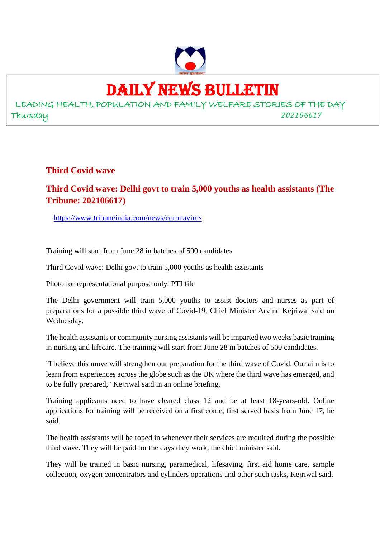

### DAILY NEWS BULLETIN

LEADING HEALTH, POPULATION AND FAMILY WELFARE STORIES OF THE DAY Thursday *202106617*

**Third Covid wave**

#### **Third Covid wave: Delhi govt to train 5,000 youths as health assistants (The Tribune: 202106617)**

https://www.tribuneindia.com/news/coronavirus

Training will start from June 28 in batches of 500 candidates

Third Covid wave: Delhi govt to train 5,000 youths as health assistants

Photo for representational purpose only. PTI file

The Delhi government will train 5,000 youths to assist doctors and nurses as part of preparations for a possible third wave of Covid-19, Chief Minister Arvind Kejriwal said on Wednesday.

The health assistants or community nursing assistants will be imparted two weeks basic training in nursing and lifecare. The training will start from June 28 in batches of 500 candidates.

"I believe this move will strengthen our preparation for the third wave of Covid. Our aim is to learn from experiences across the globe such as the UK where the third wave has emerged, and to be fully prepared," Kejriwal said in an online briefing.

Training applicants need to have cleared class 12 and be at least 18-years-old. Online applications for training will be received on a first come, first served basis from June 17, he said.

The health assistants will be roped in whenever their services are required during the possible third wave. They will be paid for the days they work, the chief minister said.

They will be trained in basic nursing, paramedical, lifesaving, first aid home care, sample collection, oxygen concentrators and cylinders operations and other such tasks, Kejriwal said.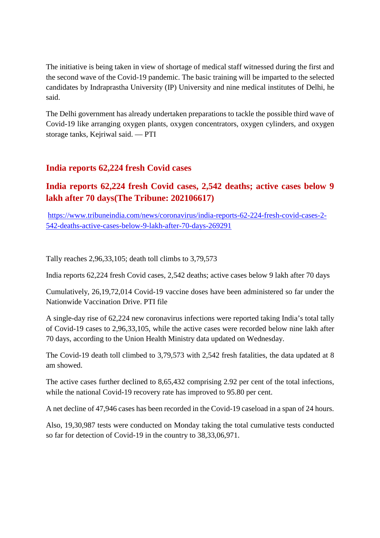The initiative is being taken in view of shortage of medical staff witnessed during the first and the second wave of the Covid-19 pandemic. The basic training will be imparted to the selected candidates by Indraprastha University (IP) University and nine medical institutes of Delhi, he said.

The Delhi government has already undertaken preparations to tackle the possible third wave of Covid-19 like arranging oxygen plants, oxygen concentrators, oxygen cylinders, and oxygen storage tanks, Kejriwal said. — PTI

#### **India reports 62,224 fresh Covid cases**

#### **India reports 62,224 fresh Covid cases, 2,542 deaths; active cases below 9 lakh after 70 days(The Tribune: 202106617)**

https://www.tribuneindia.com/news/coronavirus/india-reports-62-224-fresh-covid-cases-2- 542-deaths-active-cases-below-9-lakh-after-70-days-269291

Tally reaches 2,96,33,105; death toll climbs to 3,79,573

India reports 62,224 fresh Covid cases, 2,542 deaths; active cases below 9 lakh after 70 days

Cumulatively, 26,19,72,014 Covid-19 vaccine doses have been administered so far under the Nationwide Vaccination Drive. PTI file

A single-day rise of 62,224 new coronavirus infections were reported taking India's total tally of Covid-19 cases to 2,96,33,105, while the active cases were recorded below nine lakh after 70 days, according to the Union Health Ministry data updated on Wednesday.

The Covid-19 death toll climbed to 3,79,573 with 2,542 fresh fatalities, the data updated at 8 am showed.

The active cases further declined to 8,65,432 comprising 2.92 per cent of the total infections, while the national Covid-19 recovery rate has improved to 95.80 per cent.

A net decline of 47,946 cases has been recorded in the Covid-19 caseload in a span of 24 hours.

Also, 19,30,987 tests were conducted on Monday taking the total cumulative tests conducted so far for detection of Covid-19 in the country to 38,33,06,971.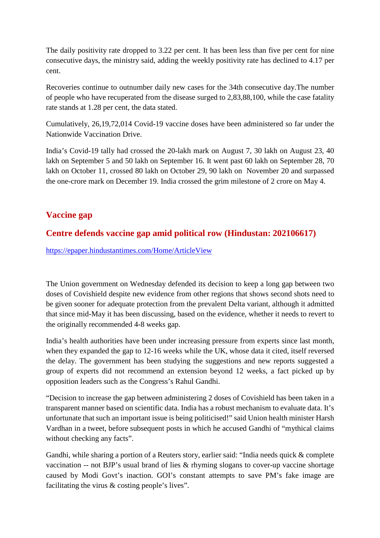The daily positivity rate dropped to 3.22 per cent. It has been less than five per cent for nine consecutive days, the ministry said, adding the weekly positivity rate has declined to 4.17 per cent.

Recoveries continue to outnumber daily new cases for the 34th consecutive day.The number of people who have recuperated from the disease surged to 2,83,88,100, while the case fatality rate stands at 1.28 per cent, the data stated.

Cumulatively, 26,19,72,014 Covid-19 vaccine doses have been administered so far under the Nationwide Vaccination Drive.

India's Covid-19 tally had crossed the 20-lakh mark on August 7, 30 lakh on August 23, 40 lakh on September 5 and 50 lakh on September 16. It went past 60 lakh on September 28, 70 lakh on October 11, crossed 80 lakh on October 29, 90 lakh on November 20 and surpassed the one-crore mark on December 19. India crossed the grim milestone of 2 crore on May 4.

#### **Vaccine gap**

#### **Centre defends vaccine gap amid political row (Hindustan: 202106617)**

https://epaper.hindustantimes.com/Home/ArticleView

The Union government on Wednesday defended its decision to keep a long gap between two doses of Covishield despite new evidence from other regions that shows second shots need to be given sooner for adequate protection from the prevalent Delta variant, although it admitted that since mid-May it has been discussing, based on the evidence, whether it needs to revert to the originally recommended 4-8 weeks gap.

India's health authorities have been under increasing pressure from experts since last month, when they expanded the gap to 12-16 weeks while the UK, whose data it cited, itself reversed the delay. The government has been studying the suggestions and new reports suggested a group of experts did not recommend an extension beyond 12 weeks, a fact picked up by opposition leaders such as the Congress's Rahul Gandhi.

"Decision to increase the gap between administering 2 doses of Covishield has been taken in a transparent manner based on scientific data. India has a robust mechanism to evaluate data. It's unfortunate that such an important issue is being politicised!" said Union health minister Harsh Vardhan in a tweet, before subsequent posts in which he accused Gandhi of "mythical claims without checking any facts".

Gandhi, while sharing a portion of a Reuters story, earlier said: "India needs quick & complete vaccination -- not BJP's usual brand of lies & rhyming slogans to cover-up vaccine shortage caused by Modi Govt's inaction. GOI's constant attempts to save PM's fake image are facilitating the virus & costing people's lives".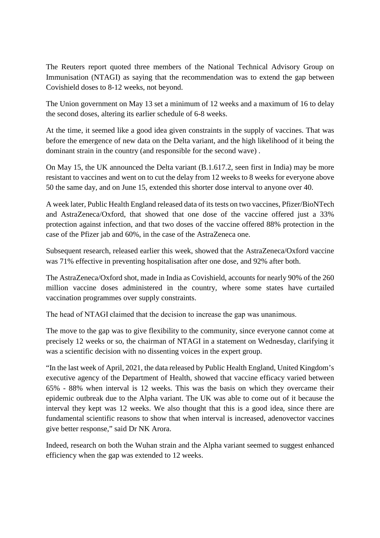The Reuters report quoted three members of the National Technical Advisory Group on Immunisation (NTAGI) as saying that the recommendation was to extend the gap between Covishield doses to 8-12 weeks, not beyond.

The Union government on May 13 set a minimum of 12 weeks and a maximum of 16 to delay the second doses, altering its earlier schedule of 6-8 weeks.

At the time, it seemed like a good idea given constraints in the supply of vaccines. That was before the emergence of new data on the Delta variant, and the high likelihood of it being the dominant strain in the country (and responsible for the second wave) .

On May 15, the UK announced the Delta variant (B.1.617.2, seen first in India) may be more resistant to vaccines and went on to cut the delay from 12 weeks to 8 weeks for everyone above 50 the same day, and on June 15, extended this shorter dose interval to anyone over 40.

A week later, Public Health England released data of its tests on two vaccines, Pfizer/BioNTech and AstraZeneca/Oxford, that showed that one dose of the vaccine offered just a 33% protection against infection, and that two doses of the vaccine offered 88% protection in the case of the Pfizer jab and 60%, in the case of the AstraZeneca one.

Subsequent research, released earlier this week, showed that the AstraZeneca/Oxford vaccine was 71% effective in preventing hospitalisation after one dose, and 92% after both.

The AstraZeneca/Oxford shot, made in India as Covishield, accounts for nearly 90% of the 260 million vaccine doses administered in the country, where some states have curtailed vaccination programmes over supply constraints.

The head of NTAGI claimed that the decision to increase the gap was unanimous.

The move to the gap was to give flexibility to the community, since everyone cannot come at precisely 12 weeks or so, the chairman of NTAGI in a statement on Wednesday, clarifying it was a scientific decision with no dissenting voices in the expert group.

"In the last week of April, 2021, the data released by Public Health England, United Kingdom's executive agency of the Department of Health, showed that vaccine efficacy varied between 65% - 88% when interval is 12 weeks. This was the basis on which they overcame their epidemic outbreak due to the Alpha variant. The UK was able to come out of it because the interval they kept was 12 weeks. We also thought that this is a good idea, since there are fundamental scientific reasons to show that when interval is increased, adenovector vaccines give better response," said Dr NK Arora.

Indeed, research on both the Wuhan strain and the Alpha variant seemed to suggest enhanced efficiency when the gap was extended to 12 weeks.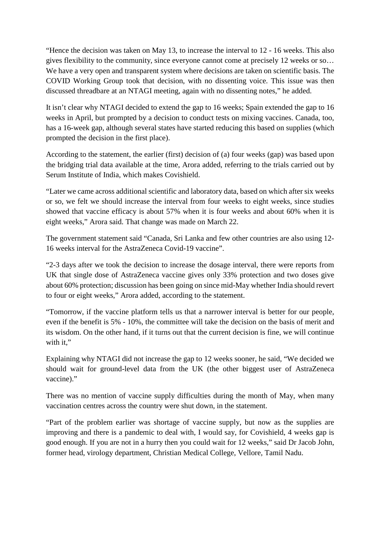"Hence the decision was taken on May 13, to increase the interval to 12 - 16 weeks. This also gives flexibility to the community, since everyone cannot come at precisely 12 weeks or so… We have a very open and transparent system where decisions are taken on scientific basis. The COVID Working Group took that decision, with no dissenting voice. This issue was then discussed threadbare at an NTAGI meeting, again with no dissenting notes," he added.

It isn't clear why NTAGI decided to extend the gap to 16 weeks; Spain extended the gap to 16 weeks in April, but prompted by a decision to conduct tests on mixing vaccines. Canada, too, has a 16-week gap, although several states have started reducing this based on supplies (which prompted the decision in the first place).

According to the statement, the earlier (first) decision of (a) four weeks (gap) was based upon the bridging trial data available at the time, Arora added, referring to the trials carried out by Serum Institute of India, which makes Covishield.

"Later we came across additional scientific and laboratory data, based on which after six weeks or so, we felt we should increase the interval from four weeks to eight weeks, since studies showed that vaccine efficacy is about 57% when it is four weeks and about 60% when it is eight weeks," Arora said. That change was made on March 22.

The government statement said "Canada, Sri Lanka and few other countries are also using 12- 16 weeks interval for the AstraZeneca Covid-19 vaccine".

"2-3 days after we took the decision to increase the dosage interval, there were reports from UK that single dose of AstraZeneca vaccine gives only 33% protection and two doses give about 60% protection; discussion has been going on since mid-May whether India should revert to four or eight weeks," Arora added, according to the statement.

"Tomorrow, if the vaccine platform tells us that a narrower interval is better for our people, even if the benefit is 5% - 10%, the committee will take the decision on the basis of merit and its wisdom. On the other hand, if it turns out that the current decision is fine, we will continue with it."

Explaining why NTAGI did not increase the gap to 12 weeks sooner, he said, "We decided we should wait for ground-level data from the UK (the other biggest user of AstraZeneca vaccine)."

There was no mention of vaccine supply difficulties during the month of May, when many vaccination centres across the country were shut down, in the statement.

"Part of the problem earlier was shortage of vaccine supply, but now as the supplies are improving and there is a pandemic to deal with, I would say, for Covishield, 4 weeks gap is good enough. If you are not in a hurry then you could wait for 12 weeks," said Dr Jacob John, former head, virology department, Christian Medical College, Vellore, Tamil Nadu.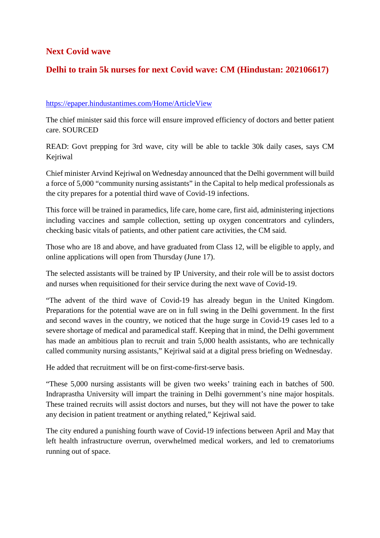#### **Next Covid wave**

#### **Delhi to train 5k nurses for next Covid wave: CM (Hindustan: 202106617)**

#### https://epaper.hindustantimes.com/Home/ArticleView

The chief minister said this force will ensure improved efficiency of doctors and better patient care. SOURCED

READ: Govt prepping for 3rd wave, city will be able to tackle 30k daily cases, says CM Kejriwal

Chief minister Arvind Kejriwal on Wednesday announced that the Delhi government will build a force of 5,000 "community nursing assistants" in the Capital to help medical professionals as the city prepares for a potential third wave of Covid-19 infections.

This force will be trained in paramedics, life care, home care, first aid, administering injections including vaccines and sample collection, setting up oxygen concentrators and cylinders, checking basic vitals of patients, and other patient care activities, the CM said.

Those who are 18 and above, and have graduated from Class 12, will be eligible to apply, and online applications will open from Thursday (June 17).

The selected assistants will be trained by IP University, and their role will be to assist doctors and nurses when requisitioned for their service during the next wave of Covid-19.

"The advent of the third wave of Covid-19 has already begun in the United Kingdom. Preparations for the potential wave are on in full swing in the Delhi government. In the first and second waves in the country, we noticed that the huge surge in Covid-19 cases led to a severe shortage of medical and paramedical staff. Keeping that in mind, the Delhi government has made an ambitious plan to recruit and train 5,000 health assistants, who are technically called community nursing assistants," Kejriwal said at a digital press briefing on Wednesday.

He added that recruitment will be on first-come-first-serve basis.

"These 5,000 nursing assistants will be given two weeks' training each in batches of 500. Indraprastha University will impart the training in Delhi government's nine major hospitals. These trained recruits will assist doctors and nurses, but they will not have the power to take any decision in patient treatment or anything related," Kejriwal said.

The city endured a punishing fourth wave of Covid-19 infections between April and May that left health infrastructure overrun, overwhelmed medical workers, and led to crematoriums running out of space.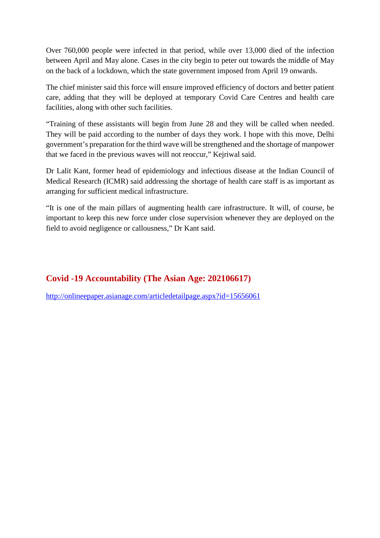Over 760,000 people were infected in that period, while over 13,000 died of the infection between April and May alone. Cases in the city begin to peter out towards the middle of May on the back of a lockdown, which the state government imposed from April 19 onwards.

The chief minister said this force will ensure improved efficiency of doctors and better patient care, adding that they will be deployed at temporary Covid Care Centres and health care facilities, along with other such facilities.

"Training of these assistants will begin from June 28 and they will be called when needed. They will be paid according to the number of days they work. I hope with this move, Delhi government's preparation for the third wave will be strengthened and the shortage of manpower that we faced in the previous waves will not reoccur," Kejriwal said.

Dr Lalit Kant, former head of epidemiology and infectious disease at the Indian Council of Medical Research (ICMR) said addressing the shortage of health care staff is as important as arranging for sufficient medical infrastructure.

"It is one of the main pillars of augmenting health care infrastructure. It will, of course, be important to keep this new force under close supervision whenever they are deployed on the field to avoid negligence or callousness," Dr Kant said.

#### **Covid -19 Accountability (The Asian Age: 202106617)**

http://onlineepaper.asianage.com/articledetailpage.aspx?id=15656061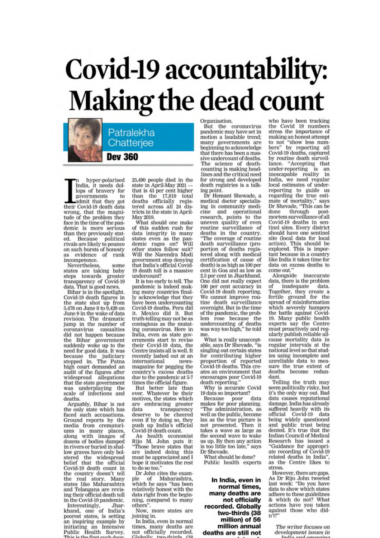## Covid-19 accountability: **Making the dead count**

Patralekha Chatteriee

**Dev 360** 

hyper-polarised In the three polarised<br>India, it needs dollops of bravery for governments  $10<sup>1</sup>$ admit that they got<br>their Covid-19 death data wrong, that the magnitude of the problem they face in the time of the pandemic is more serious than they previously stated. Because political rivals are likely to pounce on such bursts of honesty evidence of rank  $85$ incompetence.

Nevertheless. some states are taking baby states are taking baby<br>steps towards greater<br>transparency of Covid-19 data. That is good news.

Bihar is in the spotlight. Covid-19 death figures in the state shot up from 5,478 on June 8 to 9,429 on June 9 in the wake of data revision. The dramatic<br>jump in the number of coronavirus casualties did not happen because the Bihar government<br>suddenly woke up to the need for good data. It was because the judiciary<br>stepped in. The Patna<br>high court demanded an audit of the figures after widespread allegations that the state government was underplaying the<br>scale of infections and deaths.

Arguably, Bihar is not the only state which has faced such accusations. Ground reports by the<br>media from crematoriums in many places,<br>along with images of dozens of bodies dumped in rivers or buried in shallow graves have only bolstered the widespread<br>belief that the official Covid-19 death count in the country doesn't tell the real story. Many states like Maharashtra and Telangana are revising their official death toll in the Covid-19 pandemic.

Interestingly, Jhar-<br>khand, one of India's poorest states, is setting an inspiring example by initiating an Intensive Public Health Survey. hn

 $25,\!490$  people died in the state in April-May  $2021$   $$ that is 43 per cent higher<br>than the 17,819 total deaths officially registered across all 24 districts in the state in April-May 2019.

What should one make of this sudden rush for data integrny ...<br>states even as the panother states follow suit? Will the Narendra Modi government stop denying that India's official Covid-19 death toll is a massive undercount?

It is too early to tell. The pandemic is indeed making many countries finally acknowledge that they have been undercounting Covid-19 deaths. Peru did it. Mexico did it. But truth-telling may not be as contagious as the mutating coronavirus. Here in India, even as state governments start to revise their Covid-19 data, the<br>Centre insists all is well. It recently lashed out at an international newsmagazine for pegging the country's excess deaths due to the pandemic at 5-7 times the official figure.

But better late than<br>ever. Whatever be their motives, the states which are embracing greater transparency data deserve to be cheered even if by doing so, they<br>push up India's official Covid-19 death count.

As health economist Rijo M. John puts it:<br>"Those brave states that are indeed doing this must be appreciated and I hope it motivates the rest to do so too."

Dr John cites the example of Maharashtra, which he says "has been<br>relatively honest with the data right from the beginning, compared to many others".

Now, more states are joining in.

In India, even in normal times, many deaths are not officially recorded. ىدا ا د tuto

Organisation.<br>But the coronavirus pandemic may have set in motion a laudable trend: many governments are beginning to acknowledge that there has been a massive undercount of deaths. The science of deathcounting is making headlines and the critical need for strong and developed<br>death registries is a talking point.

Dr Hemant Shewade, a medical doctor specialising in community medicine and operational<br>research, points to the uneven quality of even routine surveillance of deaths in the country. "The coverage of routine death surveillance (proportion of deaths registered along with medical certification of cause of death) is as high as 100 per cent in Goa and as low as 2.5 per cent in Jharkhand, One did not really expect 100 per cent accuracy in Covid-19 death reporting. We cannot improve routine death surveillance overnight. But in the time of the pandemic, the problem rose because the undercounting of deaths<br>was way too high," he told me

What is really unacceptable, says Dr Shevade, "is<br>singling out certain states for contributing higher proportion of reported<br>Covid-19 deaths. This creates an environment that encourages poor Covid-19<br>death reporting."

Why is accurate Covid<br>19 data so important?

Because poor data<br>makes for poor planning. The administration, as well as the public, become lax as the true picture is<br>not presented. Then it takes a wave as large as the second wave to wake us up. By then any action<br>is too little too late," says Dr Shevade.

What should be done? Public health experts

In India, even in normal times, many deaths are not officially recorded. Globally two-thirds (38 million) of 56 million annual deaths are still not who have been tracking<br>the Covid 19 numbers<br>stress the importance of making an honest attempt<br>to not "show less numbers" by reporting all<br>Covid-19 deaths, captured by routine death surveillance. "Accepting that under-reporting is an inescapable reality in India, we need regular<br>local estimates of underreporting to guide us<br>regarding the true estimate of mortality," says Dr Shevade, "This can be through postdone mortem surveillance of all Covid-19 deaths in sentinel sites. Every district should have one sentinel site (local data for local action). This should be explored. This is important because in a country like India it takes time for data on excess deaths to come out."

Alongside inaccurate<br>data, there is the problem of inadequate data. Together, they create a<br>fertile ground for the<br>spread of misinformation which severely hampers when a severely manipulated against Covid-<br>19. Many public health<br>experts say the Centre<br>must proactively and regularly publish reliable allcause mortality data in regular intervals at the<br>national level so that studies using incomplete and unreliable data to measure the true extent of deaths become redundant.

Telling the truth may seem politically risky, but it's the only way out. Bad data causes reputational damage. India has already suffered heavily with its official Covid-19 data being widely questioned and public trust being dented. It's true that the Indian Council of Medical Research has issued a "Guidance for appropriate recording of Covid-19 related deaths in India", as the Centre likes to stress.

However, there are gaps. As Dr Rijo John tweeted<br>last week: "Do you have data to show which states adhere to these guidelines & which do not? What actions have you taken against those who did $n'12$ 

> The writer focuses on development issues in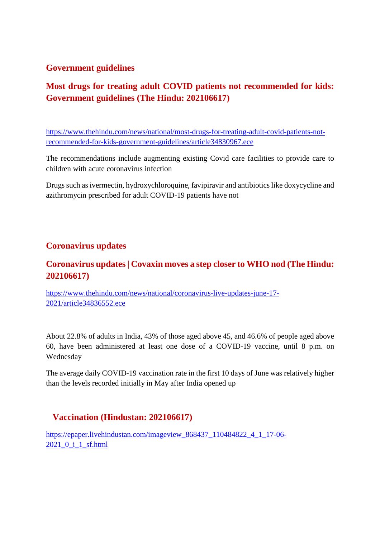#### **Government guidelines**

#### **Most drugs for treating adult COVID patients not recommended for kids: Government guidelines (The Hindu: 202106617)**

https://www.thehindu.com/news/national/most-drugs-for-treating-adult-covid-patients-notrecommended-for-kids-government-guidelines/article34830967.ece

The recommendations include augmenting existing Covid care facilities to provide care to children with acute coronavirus infection

Drugs such as ivermectin, hydroxychloroquine, favipiravir and antibiotics like doxycycline and azithromycin prescribed for adult COVID-19 patients have not

#### **Coronavirus updates**

#### **Coronavirus updates | Covaxin moves a step closer to WHO nod (The Hindu: 202106617)**

https://www.thehindu.com/news/national/coronavirus-live-updates-june-17- 2021/article34836552.ece

About 22.8% of adults in India, 43% of those aged above 45, and 46.6% of people aged above 60, have been administered at least one dose of a COVID-19 vaccine, until 8 p.m. on Wednesday

The average daily COVID-19 vaccination rate in the first 10 days of June was relatively higher than the levels recorded initially in May after India opened up

#### **Vaccination (Hindustan: 202106617)**

https://epaper.livehindustan.com/imageview\_868437\_110484822\_4\_1\_17-06-2021\_0\_i\_1\_sf.html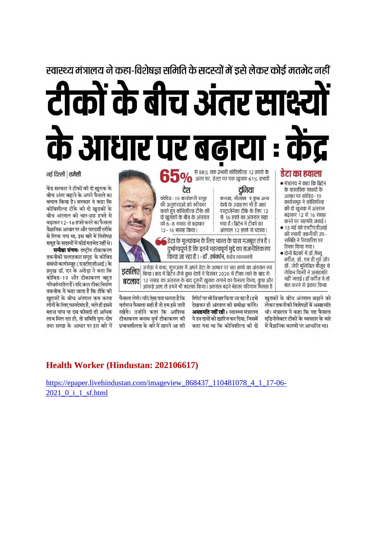#### स्वास्थ्य मंत्रालय ने कहा-विशेषज्ञ समिति के सदस्यों में इसे लेकर कोई मतभेद नहीं

# टीकों के बीच अंतर साक्ष्य के आधार पर बढाया : केंद्र

#### नर्ड दिल्ली | एजेंसी

केंद्र सरकार ने टीकों की दो खुराक के बीच अंतर बढाने के अपने फैसले का बचाव किया है। सरकार ने कहा कि कोविशील्ड टीके की दो खराकों के बीच अंतराल को चार-छह हफ्ते से बढाकर 12-16 हफ्ते करने का फैसला वैज्ञानिक आधार पर और पारदर्शी तरीके से लिया गया था, इस बारे में विशेषज्ञ समह के सदस्यों में कोई मतभेद नहीं थे।

.<br>समीक्षा संभवः राष्टीय टीकाकरण तकनीकी सलाहकार समह के कोविड संबंधी कार्यसमह (एनटीएजीआई) के प्रमुख डॉ. एन के अरोड़ा ने कहा कि कोविड-19 और टीकाकरण बहत परिवर्तनशील हैं। यदि कल टीका निर्माण तकनीक में कहा जाता है कि टीके की खराकों के बीच अंतराल कम करना लोगों के लिए फायदेमंद है. भले ही इससे महज पांच या दस फीसदी ही अधिक लाभ मिल रहा हो, तो समिति गुण-दोष तथा समझ के आधार पर इस बारे में



डसलिए किया। बाद में ब्रिटेन जैसे कुछ देशों ने दिसंबर 2020 में टीका लाने के बाद से बदलाव | 12 सप्ताह का अंतराल के बाद दूसरी खुराक लगाने का फैसला किया, कुछ और आंकड़े आए तो हमने भी बदलाव किया। अंतराल बढ़ने बेहतर परिणाम मिलता है

फैसला लेगी। यदि ऐसा पता चलता है कि वर्तमान फैसला सही है तो हम इसे जारी रखेंगे। उन्होंने कहा कि आंशिक टीकाकरण बनाम पूर्ण टीकाकरण की प्रभावशीलता के बारे में सामने आ रही रिपोर्ट पर भी विचार किया जा रहा है। इसे देखकर ही अंतराल की समीक्षा करेंगे। असहमति नहीं रही : स्वास्थ्य मंत्रालय ने उन दावों को खारिज कर दिया, जिसमें कहा गया था कि कोविशील्ड की दो

बात करने से इंकार किया खुराकों के बीच अंतराल बढाने को लेकर तकनीकी विशेषज्ञों में असहमति थी। मंत्रालय ने कहा कि यह फैसला एडिनोवेक्टर टीकों के व्यवहार के बारे में वैज्ञानिक कारणों पर आधारित था।

#### **Health Worker (Hindustan: 202106617)**

https://epaper.livehindustan.com/imageview 868437 110481078 4 1 17-06- $2021$  0 i 1 sf.html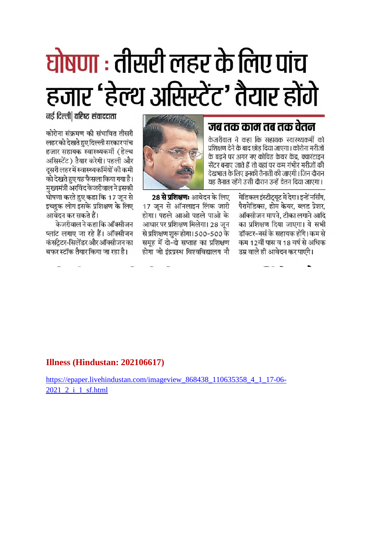## घोषणा : तीसरी लहर के लिए पांच हजार 'हेल्थ असिस्टेंट' तैयार होंगे

#### जब तक काम तब तक वेतन

केजरीवाल ने कहा कि सहायक स्वास्थ्यकर्मी को प्रशिक्षण देने के बाद छोड दिया जाएगा। कोरोना मरीजों के बढने पर अगर नए कोविड केयर केंद्र, क्वारंटाइन सेंटर बनाए जाते हैं तो वहां पर कम गंभीर मरीजों की देखभाल के लिए इनकी तैनाती की जाएगी। जिन दौरान यह तैनात रहेंगे उसी दौरान उन्हें वेतन दिया जाएगा।



मेडिकल इंस्टीटयट में देगा। इन्हें नर्सिंग. पैरामेडिक्स, होम केयर, ब्लड प्रेशर, ऑक्सीजन मापने. टीका लगाने आदि का प्रशिक्षण दिया जाएगा। ये सभी डॉक्टर-नर्स के सहायक होंगे। कम से कम 12वीं पास व 18 वर्ष से अधिक उम्र वाले ही आवेदन कर पाएंगे।

28 से प्रशिक्षणः आवेदन के लिए 17 जून से ऑनलाइन लिंक जारी होगा। पहले आओ पहले पाओ के आधार पर प्रशिक्षण मिलेगा। 28 जन से प्रशिक्षण शुरू होगा। 500-500 के समूह में दो-दो सप्ताह का प्रशिक्षण होगा जो इंदपस्थ विश्वविद्यालय नौ

नई दिल्ली| वरिष्ठ संवाददाता

कोरोना संक्रमण की संभावित तीसरी लहर को देखते हए दिल्ली सरकार पांच हजार सहायक स्वास्थ्यकर्मी (हेल्थ असिस्टेंट) तैयार करेगी। पहली और दसरी लहर में स्वास्थ्यकर्मियों की कमी को देखते हुए यह फैसला किया गया है। मख्यमंत्री अरविंद केजरीवाल ने इसकी घोषणा करते हुए कहा कि 17 जुन से इच्छुक लोग इसके प्रशिक्षण के लिए आवेदन कर सकते हैं।

केजरीवाल ने कहा कि ऑक्सीजन प्लांट लगाए जा रहे हैं। ऑक्सीजन कंसटेटर-सिलेंडर और ऑक्सीजन का बफर स्टॉक तैयार किया जा रहा है।

Illness (Hindustan: 202106617)

https://epaper.livehindustan.com/imageview 868438 110635358 4 1 17-06-2021 2 i 1 sf.html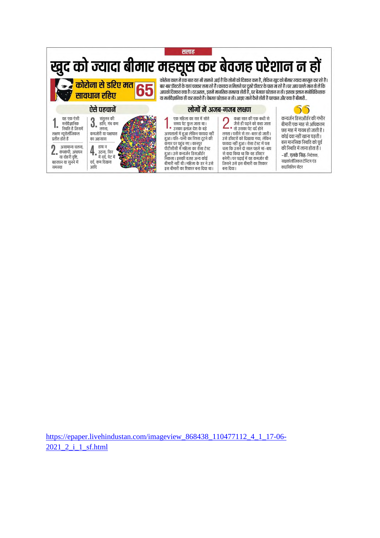

https://epaper.livehindustan.com/imageview\_868438\_110477112\_4\_1\_17-06-2021 2 i 1 sf.html